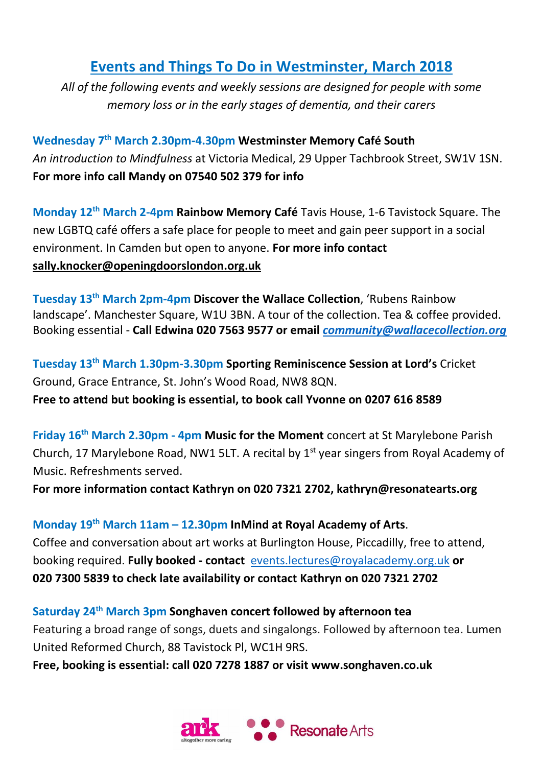## **Events and Things To Do in Westminster, March 2018**

*All of the following events and weekly sessions are designed for people with some memory loss or in the early stages of dementia, and their carers*

**Wednesday 7 th March 2.30pm-4.30pm Westminster Memory Café South** *An introduction to Mindfulness* at Victoria Medical, 29 Upper Tachbrook Street, SW1V 1SN. **For more info call Mandy on 07540 502 379 for info**

**Monday 12th March 2-4pm Rainbow Memory Café** Tavis House, 1-6 Tavistock Square. The new LGBTQ café offers a safe place for people to meet and gain peer support in a social environment. In Camden but open to anyone. **For more info contact [sally.knocker@openingdoorslondon.org.uk](mailto:sally.knocker@openingdoorslondon.org.uk)**

**Tuesday 13th March 2pm-4pm Discover the Wallace Collection**, 'Rubens Rainbow landscape'. Manchester Square, W1U 3BN. A tour of the collection. Tea & coffee provided. Booking essential - **Call Edwina 020 7563 9577 or email** *[community@wallacecollection.org](mailto:community@wallacecollection.org)*

**Tuesday 13 th March 1.30pm-3.30pm Sporting Reminiscence Session at Lord's** Cricket Ground, Grace Entrance, St. John's Wood Road, NW8 8QN. **Free to attend but booking is essential, to book call Yvonne on 0207 616 8589**

**Friday 16th March 2.30pm - 4pm Music for the Moment** concert at St Marylebone Parish Church, 17 Marylebone Road, NW1 5LT. A recital by 1<sup>st</sup> year singers from Royal Academy of Music. Refreshments served.

**For more information contact Kathryn on 020 7321 2702, kathryn@resonatearts.org**

**Monday 19 th March 11am – 12.30pm InMind at Royal Academy of Arts**. Coffee and conversation about art works at Burlington House, Piccadilly, free to attend, booking required. **Fully booked - contact** [events.lectures@royalacademy.org.uk](mailto:events.lectures@royalacademy.org.uk) **or 020 7300 5839 to check late availability or contact Kathryn on 020 7321 2702**

**Saturday 24th March 3pm Songhaven concert followed by afternoon tea** Featuring a broad range of songs, duets and singalongs. Followed by afternoon tea. Lumen United Reformed Church, 88 Tavistock Pl, WC1H 9RS.

**Free, booking is essential: call 020 7278 1887 or visit www.songhaven.co.uk**